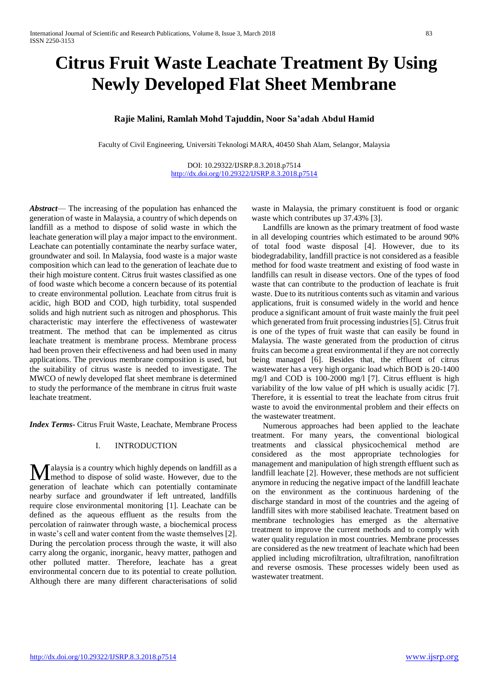# **Citrus Fruit Waste Leachate Treatment By Using Newly Developed Flat Sheet Membrane**

# **Rajie Malini, Ramlah Mohd Tajuddin, Noor Sa'adah Abdul Hamid**

Faculty of Civil Engineering, Universiti Teknologi MARA, 40450 Shah Alam, Selangor, Malaysia

DOI: 10.29322/IJSRP.8.3.2018.p7514 <http://dx.doi.org/10.29322/IJSRP.8.3.2018.p7514>

*Abstract*— The increasing of the population has enhanced the generation of waste in Malaysia, a country of which depends on landfill as a method to dispose of solid waste in which the leachate generation will play a major impact to the environment. Leachate can potentially contaminate the nearby surface water, groundwater and soil. In Malaysia, food waste is a major waste composition which can lead to the generation of leachate due to their high moisture content. Citrus fruit wastes classified as one of food waste which become a concern because of its potential to create environmental pollution. Leachate from citrus fruit is acidic, high BOD and COD, high turbidity, total suspended solids and high nutrient such as nitrogen and phosphorus. This characteristic may interfere the effectiveness of wastewater treatment. The method that can be implemented as citrus leachate treatment is membrane process. Membrane process had been proven their effectiveness and had been used in many applications. The previous membrane composition is used, but the suitability of citrus waste is needed to investigate. The MWCO of newly developed flat sheet membrane is determined to study the performance of the membrane in citrus fruit waste leachate treatment.

*Index Terms-* Citrus Fruit Waste, Leachate, Membrane Process

# I. INTRODUCTION

alaysia is a country which highly depends on landfill as a **M**alaysia is a country which highly depends on landfill as a method to dispose of solid waste. However, due to the generation of leachate which can potentially contaminate nearby surface and groundwater if left untreated, landfills require close environmental monitoring [1]. Leachate can be defined as the aqueous effluent as the results from the percolation of rainwater through waste, a biochemical process in waste's cell and water content from the waste themselves [2]. During the percolation process through the waste, it will also carry along the organic, inorganic, heavy matter, pathogen and other polluted matter. Therefore, leachate has a great environmental concern due to its potential to create pollution. Although there are many different characterisations of solid

waste in Malaysia, the primary constituent is food or organic waste which contributes up 37.43% [3].

Landfills are known as the primary treatment of food waste in all developing countries which estimated to be around 90% of total food waste disposal [4]. However, due to its biodegradability, landfill practice is not considered as a feasible method for food waste treatment and existing of food waste in landfills can result in disease vectors. One of the types of food waste that can contribute to the production of leachate is fruit waste. Due to its nutritious contents such as vitamin and various applications, fruit is consumed widely in the world and hence produce a significant amount of fruit waste mainly the fruit peel which generated from fruit processing industries [5]. Citrus fruit is one of the types of fruit waste that can easily be found in Malaysia. The waste generated from the production of citrus fruits can become a great environmental if they are not correctly being managed [6]. Besides that, the effluent of citrus wastewater has a very high organic load which BOD is 20-1400 mg/l and COD is 100-2000 mg/l [7]. Citrus effluent is high variability of the low value of pH which is usually acidic [7]. Therefore, it is essential to treat the leachate from citrus fruit waste to avoid the environmental problem and their effects on the wastewater treatment.

Numerous approaches had been applied to the leachate treatment. For many years, the conventional biological treatments and classical physicochemical method are considered as the most appropriate technologies for management and manipulation of high strength effluent such as landfill leachate [2]. However, these methods are not sufficient anymore in reducing the negative impact of the landfill leachate on the environment as the continuous hardening of the discharge standard in most of the countries and the ageing of landfill sites with more stabilised leachate. Treatment based on membrane technologies has emerged as the alternative treatment to improve the current methods and to comply with water quality regulation in most countries. Membrane processes are considered as the new treatment of leachate which had been applied including microfiltration, ultrafiltration, nanofiltration and reverse osmosis. These processes widely been used as wastewater treatment.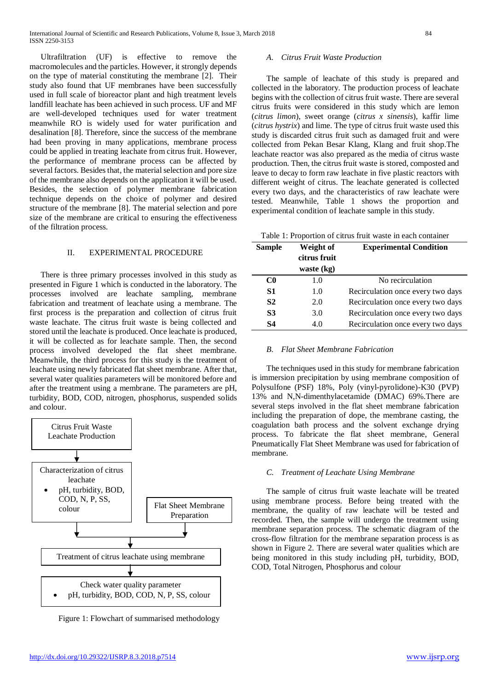Ultrafiltration (UF) is effective to remove the macromolecules and the particles. However, it strongly depends on the type of material constituting the membrane [2]. Their study also found that UF membranes have been successfully used in full scale of bioreactor plant and high treatment levels landfill leachate has been achieved in such process. UF and MF are well-developed techniques used for water treatment meanwhile RO is widely used for water purification and desalination [8]. Therefore, since the success of the membrane had been proving in many applications, membrane process could be applied in treating leachate from citrus fruit. However, the performance of membrane process can be affected by several factors. Besides that, the material selection and pore size of the membrane also depends on the application it will be used. Besides, the selection of polymer membrane fabrication technique depends on the choice of polymer and desired structure of the membrane [8]. The material selection and pore size of the membrane are critical to ensuring the effectiveness of the filtration process.

# II. EXPERIMENTAL PROCEDURE

There is three primary processes involved in this study as presented in Figure 1 which is conducted in the laboratory. The processes involved are leachate sampling, membrane fabrication and treatment of leachate using a membrane. The first process is the preparation and collection of citrus fruit waste leachate. The citrus fruit waste is being collected and stored until the leachate is produced. Once leachate is produced, it will be collected as for leachate sample. Then, the second process involved developed the flat sheet membrane. Meanwhile, the third process for this study is the treatment of leachate using newly fabricated flat sheet membrane. After that, several water qualities parameters will be monitored before and after the treatment using a membrane. The parameters are pH, turbidity, BOD, COD, nitrogen, phosphorus, suspended solids and colour.



Figure 1: Flowchart of summarised methodology

#### *A. Citrus Fruit Waste Production*

The sample of leachate of this study is prepared and collected in the laboratory. The production process of leachate begins with the collection of citrus fruit waste. There are several citrus fruits were considered in this study which are lemon (*citrus limon*), sweet orange (*citrus x sinensis*), kaffir lime (*citrus hystrix*) and lime. The type of citrus fruit waste used this study is discarded citrus fruit such as damaged fruit and were collected from Pekan Besar Klang, Klang and fruit shop.The leachate reactor was also prepared as the media of citrus waste production. Then, the citrus fruit waste is stored, composted and leave to decay to form raw leachate in five plastic reactors with different weight of citrus. The leachate generated is collected every two days, and the characteristics of raw leachate were tested. Meanwhile, Table 1 shows the proportion and experimental condition of leachate sample in this study.

|  | Table 1: Proportion of citrus fruit waste in each container |  |  |  |  |  |  |  |
|--|-------------------------------------------------------------|--|--|--|--|--|--|--|
|--|-------------------------------------------------------------|--|--|--|--|--|--|--|

| <b>Sample</b>  | Weight of<br>citrus fruit | <b>Experimental Condition</b>     |
|----------------|---------------------------|-----------------------------------|
|                | waste $(kg)$              |                                   |
| C <sub>0</sub> | 1.0                       | No recirculation                  |
| S1             | 1.0                       | Recirculation once every two days |
| S <sub>2</sub> | 2.0                       | Recirculation once every two days |
| <b>S3</b>      | 3.0                       | Recirculation once every two days |
| S4             | 4.0                       | Recirculation once every two days |

#### *B. Flat Sheet Membrane Fabrication*

The techniques used in this study for membrane fabrication is immersion precipitation by using membrane composition of Polysulfone (PSF) 18%, Poly (vinyl-pyrolidone)-K30 (PVP) 13% and N,N-dimenthylacetamide (DMAC) 69%.There are several steps involved in the flat sheet membrane fabrication including the preparation of dope, the membrane casting, the coagulation bath process and the solvent exchange drying process. To fabricate the flat sheet membrane, General Pneumatically Flat Sheet Membrane was used for fabrication of membrane.

# *C. Treatment of Leachate Using Membrane*

The sample of citrus fruit waste leachate will be treated using membrane process. Before being treated with the membrane, the quality of raw leachate will be tested and recorded. Then, the sample will undergo the treatment using membrane separation process. The schematic diagram of the cross-flow filtration for the membrane separation process is as shown in Figure 2. There are several water qualities which are being monitored in this study including pH, turbidity, BOD, COD, Total Nitrogen, Phosphorus and colour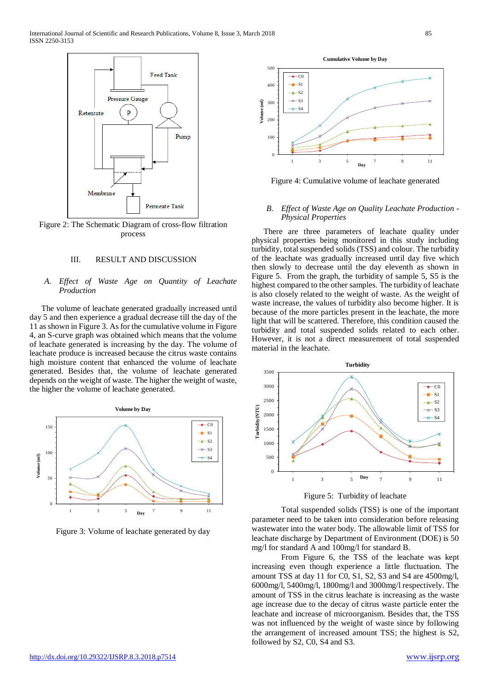

Figure 2: The Schematic Diagram of cross-flow filtration process

# III. RESULT AND DISCUSSION

# *A. Effect of Waste Age on Quantity of Leachate Production*

The volume of leachate generated gradually increased until day 5 and then experience a gradual decrease till the day of the 11 as shown in Figure 3. As for the cumulative volume in Figure 4, an S-curve graph was obtained which means that the volume of leachate generated is increasing by the day. The volume of leachate produce is increased because the citrus waste contains high moisture content that enhanced the volume of leachate generated. Besides that, the volume of leachate generated depends on the weight of waste. The higher the weight of waste, the higher the volume of leachate generated.



Figure 3: Volume of leachate generated by day

0 100 200 300  $400$ 500 1 3 5 7 9 11 **Volume (ml) Day** C0  $\overline{\mathbf{S}}$ S2  $\overline{S}$ S4

**Cumulative Volume by Day**

Figure 4: Cumulative volume of leachate generated

### *B. Effect of Waste Age on Quality Leachate Production - Physical Properties*

There are three parameters of leachate quality under physical properties being monitored in this study including turbidity, total suspended solids (TSS) and colour. The turbidity of the leachate was gradually increased until day five which then slowly to decrease until the day eleventh as shown in Figure 5. From the graph, the turbidity of sample 5, S5 is the highest compared to the other samples. The turbidity of leachate is also closely related to the weight of waste. As the weight of waste increase, the values of turbidity also become higher. It is because of the more particles present in the leachate, the more light that will be scattered. Therefore, this condition caused the turbidity and total suspended solids related to each other. However, it is not a direct measurement of total suspended material in the leachate.



Figure 5: Turbidity of leachate

Total suspended solids (TSS) is one of the important parameter need to be taken into consideration before releasing wastewater into the water body. The allowable limit of TSS for leachate discharge by Department of Environment (DOE) is 50 mg/l for standard A and 100mg/l for standard B.

From Figure 6, the TSS of the leachate was kept increasing even though experience a little fluctuation. The amount TSS at day 11 for C0, S1, S2, S3 and S4 are 4500mg/l, 6000mg/l, 5400mg/l, 1800mg/l and 3000mg/l respectively. The amount of TSS in the citrus leachate is increasing as the waste age increase due to the decay of citrus waste particle enter the leachate and increase of microorganism. Besides that, the TSS was not influenced by the weight of waste since by following the arrangement of increased amount TSS; the highest is S2, followed by S2, C0, S4 and S3.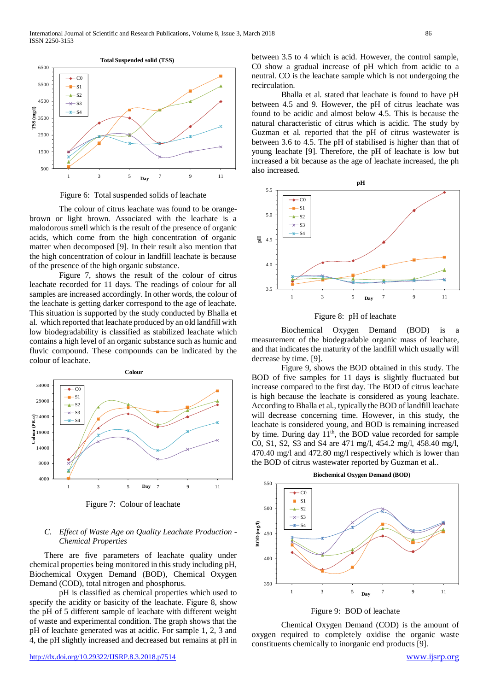

Figure 6: Total suspended solids of leachate

The colour of citrus leachate was found to be orangebrown or light brown. Associated with the leachate is a malodorous smell which is the result of the presence of organic acids, which come from the high concentration of organic matter when decomposed [9]. In their result also mention that the high concentration of colour in landfill leachate is because of the presence of the high organic substance.

Figure 7, shows the result of the colour of citrus leachate recorded for 11 days. The readings of colour for all samples are increased accordingly. In other words, the colour of the leachate is getting darker correspond to the age of leachate. This situation is supported by the study conducted by Bhalla et al. which reported that leachate produced by an old landfill with low biodegradability is classified as stabilized leachate which contains a high level of an organic substance such as humic and fluvic compound. These compounds can be indicated by the colour of leachate.



Figure 7: Colour of leachate

# *C. Effect of Waste Age on Quality Leachate Production - Chemical Properties*

There are five parameters of leachate quality under chemical properties being monitored in this study including pH, Biochemical Oxygen Demand (BOD), Chemical Oxygen Demand (COD), total nitrogen and phosphorus.

pH is classified as chemical properties which used to specify the acidity or basicity of the leachate. Figure 8, show the pH of 5 different sample of leachate with different weight of waste and experimental condition. The graph shows that the pH of leachate generated was at acidic. For sample 1, 2, 3 and 4, the pH slightly increased and decreased but remains at pH in

between 3.5 to 4 which is acid. However, the control sample, C0 show a gradual increase of pH which from acidic to a neutral. CO is the leachate sample which is not undergoing the recirculation.

Bhalla et al. stated that leachate is found to have pH between 4.5 and 9. However, the pH of citrus leachate was found to be acidic and almost below 4.5. This is because the natural characteristic of citrus which is acidic. The study by Guzman et al. reported that the pH of citrus wastewater is between 3.6 to 4.5. The pH of stabilised is higher than that of young leachate [9]. Therefore, the pH of leachate is low but increased a bit because as the age of leachate increased, the ph also increased.



Figure 8: pH of leachate

Biochemical Oxygen Demand (BOD) is a measurement of the biodegradable organic mass of leachate, and that indicates the maturity of the landfill which usually will decrease by time. [9].

Figure 9, shows the BOD obtained in this study. The BOD of five samples for 11 days is slightly fluctuated but increase compared to the first day. The BOD of citrus leachate is high because the leachate is considered as young leachate. According to Bhalla et al., typically the BOD of landfill leachate will decrease concerning time. However, in this study, the leachate is considered young, and BOD is remaining increased by time. During day  $11<sup>th</sup>$ , the BOD value recorded for sample C0, S1, S2, S3 and S4 are 471 mg/l, 454.2 mg/l, 458.40 mg/l, 470.40 mg/l and 472.80 mg/l respectively which is lower than the BOD of citrus wastewater reported by Guzman et al..





Chemical Oxygen Demand (COD) is the amount of oxygen required to completely oxidise the organic waste constituents chemically to inorganic end products [9].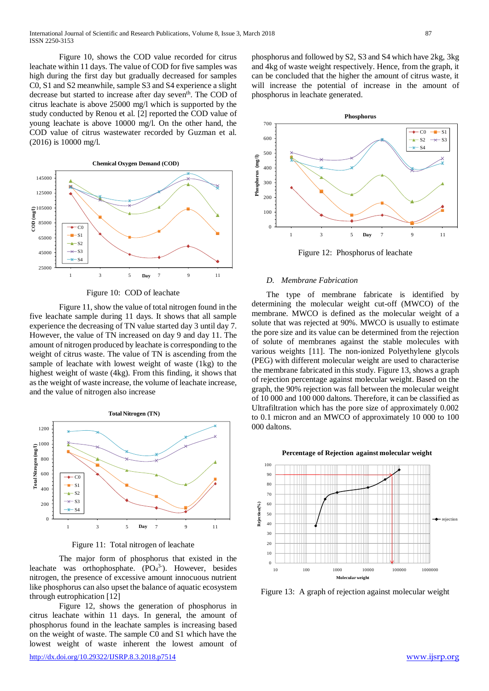Figure 10, shows the COD value recorded for citrus leachate within 11 days. The value of COD for five samples was high during the first day but gradually decreased for samples C0, S1 and S2 meanwhile, sample S3 and S4 experience a slight decrease but started to increase after day seven<sup>th</sup>. The COD of citrus leachate is above 25000 mg/l which is supported by the study conducted by Renou et al. [2] reported the COD value of young leachate is above 10000 mg/l. On the other hand, the COD value of citrus wastewater recorded by Guzman et al. (2016) is 10000 mg/l.



Figure 10: COD of leachate

Figure 11, show the value of total nitrogen found in the five leachate sample during 11 days. It shows that all sample experience the decreasing of TN value started day 3 until day 7. However, the value of TN increased on day 9 and day 11. The amount of nitrogen produced by leachate is corresponding to the weight of citrus waste. The value of TN is ascending from the sample of leachate with lowest weight of waste (1kg) to the highest weight of waste (4kg). From this finding, it shows that as the weight of waste increase, the volume of leachate increase, and the value of nitrogen also increase



Figure 11: Total nitrogen of leachate

The major form of phosphorus that existed in the leachate was orthophosphate.  $(PO<sub>4</sub><sup>3-</sup>)$ . However, besides nitrogen, the presence of excessive amount innocuous nutrient like phosphorus can also upset the balance of aquatic ecosystem through eutrophication [12]

Figure 12, shows the generation of phosphorus in citrus leachate within 11 days. In general, the amount of phosphorus found in the leachate samples is increasing based on the weight of waste. The sample C0 and S1 which have the lowest weight of waste inherent the lowest amount of

<http://dx.doi.org/10.29322/IJSRP.8.3.2018.p7514> [www.ijsrp.org](http://ijsrp.org/)

phosphorus and followed by S2, S3 and S4 which have 2kg, 3kg and 4kg of waste weight respectively. Hence, from the graph, it can be concluded that the higher the amount of citrus waste, it will increase the potential of increase in the amount of phosphorus in leachate generated.



Figure 12: Phosphorus of leachate

#### *D. Membrane Fabrication*

The type of membrane fabricate is identified by determining the molecular weight cut-off (MWCO) of the membrane. MWCO is defined as the molecular weight of a solute that was rejected at 90%. MWCO is usually to estimate the pore size and its value can be determined from the rejection of solute of membranes against the stable molecules with various weights [11]. The non-ionized Polyethylene glycols (PEG) with different molecular weight are used to characterise the membrane fabricated in this study. Figure 13, shows a graph of rejection percentage against molecular weight. Based on the graph, the 90% rejection was fall between the molecular weight of 10 000 and 100 000 daltons. Therefore, it can be classified as Ultrafiltration which has the pore size of approximately 0.002 to 0.1 micron and an MWCO of approximately 10 000 to 100 000 daltons.



Figure 13: A graph of rejection against molecular weight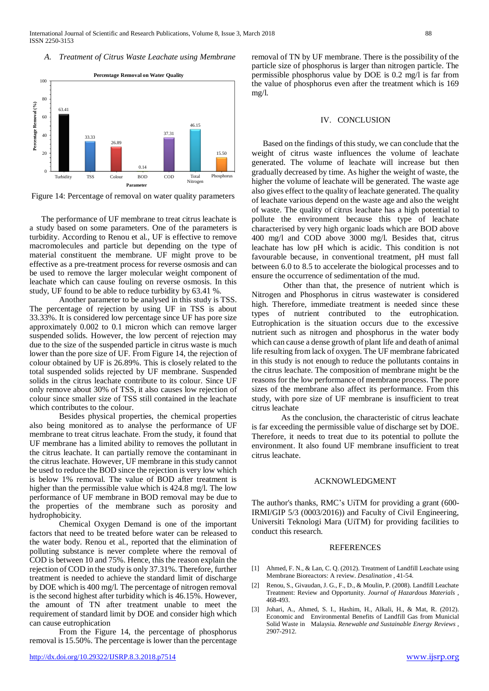#### *A. Treatment of Citrus Waste Leachate using Membrane*



Figure 14: Percentage of removal on water quality parameters

The performance of UF membrane to treat citrus leachate is a study based on some parameters. One of the parameters is turbidity. According to Renou et al., UF is effective to remove macromolecules and particle but depending on the type of material constituent the membrane. UF might prove to be effective as a pre-treatment process for reverse osmosis and can be used to remove the larger molecular weight component of leachate which can cause fouling on reverse osmosis. In this study, UF found to be able to reduce turbidity by 63.41 %.

Another parameter to be analysed in this study is TSS. The percentage of rejection by using UF in TSS is about 33.33%. It is considered low percentage since UF has pore size approximately 0.002 to 0.1 micron which can remove larger suspended solids. However, the low percent of rejection may due to the size of the suspended particle in citrus waste is much lower than the pore size of UF. From Figure 14, the rejection of colour obtained by UF is 26.89%. This is closely related to the total suspended solids rejected by UF membrane. Suspended solids in the citrus leachate contribute to its colour. Since UF only remove about 30% of TSS, it also causes low rejection of colour since smaller size of TSS still contained in the leachate which contributes to the colour.

Besides physical properties, the chemical properties also being monitored as to analyse the performance of UF membrane to treat citrus leachate. From the study, it found that UF membrane has a limited ability to removes the pollutant in the citrus leachate. It can partially remove the contaminant in the citrus leachate. However, UF membrane in this study cannot be used to reduce the BOD since the rejection is very low which is below 1% removal. The value of BOD after treatment is higher than the permissible value which is 424.8 mg/l. The low performance of UF membrane in BOD removal may be due to the properties of the membrane such as porosity and hydrophobicity.

Chemical Oxygen Demand is one of the important factors that need to be treated before water can be released to the water body. Renou et al., reported that the elimination of polluting substance is never complete where the removal of COD is between 10 and 75%. Hence, this the reason explain the rejection of COD in the study is only 37.31%. Therefore, further treatment is needed to achieve the standard limit of discharge by DOE which is 400 mg/l. The percentage of nitrogen removal is the second highest after turbidity which is 46.15%. However, the amount of TN after treatment unable to meet the requirement of standard limit by DOE and consider high which can cause eutrophication

From the Figure 14, the percentage of phosphorus removal is 15.50%. The percentage is lower than the percentage removal of TN by UF membrane. There is the possibility of the particle size of phosphorus is larger than nitrogen particle. The permissible phosphorus value by DOE is 0.2 mg/l is far from the value of phosphorus even after the treatment which is 169 mg/l.

#### IV. CONCLUSION

Based on the findings of this study, we can conclude that the weight of citrus waste influences the volume of leachate generated. The volume of leachate will increase but then gradually decreased by time. As higher the weight of waste, the higher the volume of leachate will be generated. The waste age also gives effect to the quality of leachate generated. The quality of leachate various depend on the waste age and also the weight of waste. The quality of citrus leachate has a high potential to pollute the environment because this type of leachate characterised by very high organic loads which are BOD above 400 mg/l and COD above 3000 mg/l. Besides that, citrus leachate has low pH which is acidic. This condition is not favourable because, in conventional treatment, pH must fall between 6.0 to 8.5 to accelerate the biological processes and to ensure the occurrence of sedimentation of the mud.

Other than that, the presence of nutrient which is Nitrogen and Phosphorus in citrus wastewater is considered high. Therefore, immediate treatment is needed since these types of nutrient contributed to the eutrophication. Eutrophication is the situation occurs due to the excessive nutrient such as nitrogen and phosphorus in the water body which can cause a dense growth of plant life and death of animal life resulting from lack of oxygen. The UF membrane fabricated in this study is not enough to reduce the pollutants contains in the citrus leachate. The composition of membrane might be the reasons for the low performance of membrane process. The pore sizes of the membrane also affect its performance. From this study, with pore size of UF membrane is insufficient to treat citrus leachate

As the conclusion, the characteristic of citrus leachate is far exceeding the permissible value of discharge set by DOE. Therefore, it needs to treat due to its potential to pollute the environment. It also found UF membrane insufficient to treat citrus leachate.

### ACKNOWLEDGMENT

The author's thanks, RMC's UiTM for providing a grant (600- IRMI/GIP 5/3 (0003/2016)) and Faculty of Civil Engineering, Universiti Teknologi Mara (UiTM) for providing facilities to conduct this research.

#### REFERENCES

- [1] Ahmed, F. N., & Lan, C. Q. (2012). Treatment of Landfill Leachate using Membrane Bioreactors: A review. *Desalination* , 41-54.
- [2] Renou, S., Givaudan, J. G., F., D., & Moulin, P. (2008). Landfill Leachate Treatment: Review and Opportunity. *Journal of Hazardous Materials* , 468-493.
- [3] Johari, A., Ahmed, S. I., Hashim, H., Alkali, H., & Mat, R. (2012). Economic and Environmental Benefits of Landfill Gas from Municial Solid Waste in Malaysia. *Renewable and Sustainable Energy Reviews* , 2907-2912.